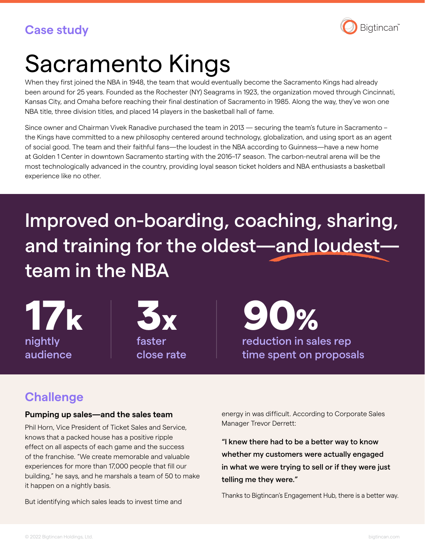

# Sacramento Kings

When they first joined the NBA in 1948, the team that would eventually become the Sacramento Kings had already been around for 25 years. Founded as the Rochester (NY) Seagrams in 1923, the organization moved through Cincinnati, Kansas City, and Omaha before reaching their final destination of Sacramento in 1985. Along the way, they've won one NBA title, three division titles, and placed 14 players in the basketball hall of fame.

Since owner and Chairman Vivek Ranadive purchased the team in 2013 — securing the team's future in Sacramento – the Kings have committed to a new philosophy centered around technology, globalization, and using sport as an agent of social good. The team and their faithful fans—the loudest in the NBA according to Guinness—have a new home at Golden 1 Center in downtown Sacramento starting with the 2016–17 season. The carbon-neutral arena will be the most technologically advanced in the country, providing loyal season ticket holders and NBA enthusiasts a basketball experience like no other.

## Improved on-boarding, coaching, sharing, and training for the oldest—and loudest team in the NBA

nightly audience



close rate

reduction in sales rep time spent on proposals 17k 3x 90%

## **Challenge**

#### **Pumping up sales—and the sales team**

Phil Horn, Vice President of Ticket Sales and Service, knows that a packed house has a positive ripple effect on all aspects of each game and the success of the franchise. "We create memorable and valuable experiences for more than 17,000 people that fill our building," he says, and he marshals a team of 50 to make it happen on a nightly basis.

But identifying which sales leads to invest time and

energy in was difficult. According to Corporate Sales Manager Trevor Derrett:

"I knew there had to be a better way to know whether my customers were actually engaged in what we were trying to sell or if they were just telling me they were."

Thanks to Bigtincan's Engagement Hub, there is a better way.